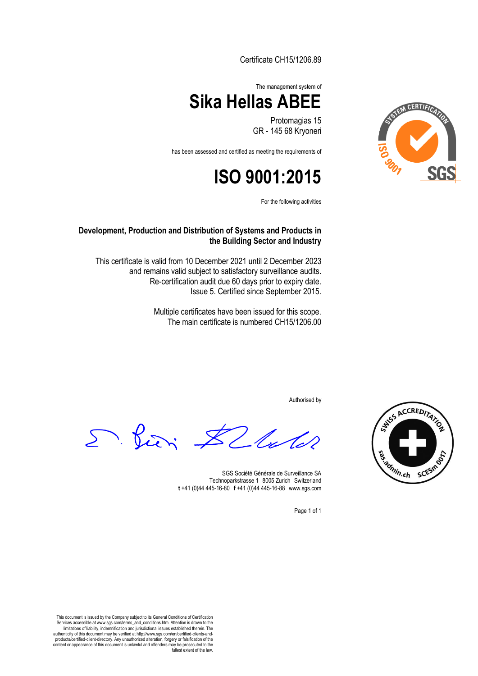Certificate CH15/1206.89



Protomagias 15 GR - 145 68 Kryoneri

has been assessed and certified as meeting the requirements of

## **ISO 9001:2015**

For the following activities

**Development, Production and Distribution of Systems and Products in the Building Sector and Industry**

This certificate is valid from 10 December 2021 until 2 December 2023 and remains valid subject to satisfactory surveillance audits. Re-certification audit due 60 days prior to expiry date. Issue 5. Certified since September 2015.

> Multiple certificates have been issued for this scope. The main certificate is numbered CH15/1206.00

> > Authorised by

D. Pieri \$2 lute



SGS Société Générale de Surveillance SA Technoparkstrasse 1 8005 Zurich Switzerland **t** +41 (0)44 445-16-80□**f** +41 (0)44 445-16-88□www.sgs.com

Page 1 of 1